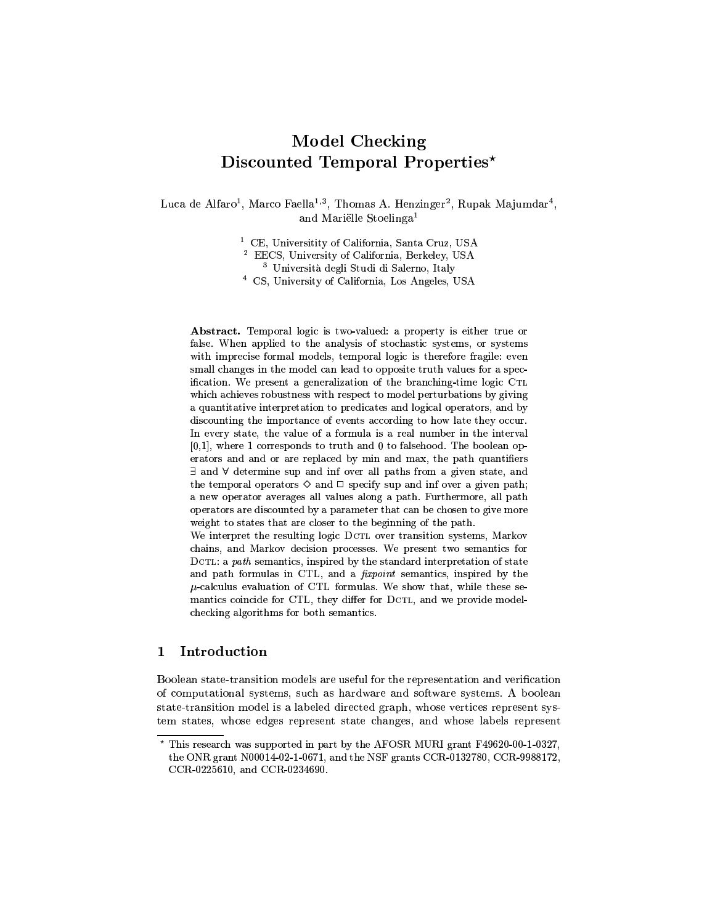# **Model Checking** Discounted Temporal Properties\*

Luca de Alfaro<sup>1</sup>, Marco Faella<sup>1,3</sup>, Thomas A. Henzinger<sup>2</sup>, Rupak Majumdar<sup>4</sup>, and Mariëlle Stoelinga<sup>1</sup>

<sup>1</sup> CE, Universitity of California, Santa Cruz, USA

<sup>2</sup> EECS, University of California, Berkeley, USA

<sup>3</sup> Università degli Studi di Salerno, Italy

<sup>4</sup> CS, University of California, Los Angeles, USA

Abstract. Temporal logic is two-valued: a property is either true or false. When applied to the analysis of stochastic systems, or systems with imprecise formal models, temporal logic is therefore fragile: even small changes in the model can lead to opposite truth values for a specification. We present a generalization of the branching-time logic CTL which achieves robustness with respect to model perturbations by giving a quantitative interpretation to predicates and logical operators, and by discounting the importance of events according to how late they occur. In every state, the value of a formula is a real number in the interval  $[0,1]$ , where 1 corresponds to truth and 0 to falsehood. The boolean operators and and or are replaced by min and max, the path quantifiers  $\exists$  and  $\forall$  determine sup and inf over all paths from a given state, and the temporal operators  $\diamond$  and  $\square$  specify sup and inf over a given path; a new operator averages all values along a path. Furthermore, all path operators are discounted by a parameter that can be chosen to give more weight to states that are closer to the beginning of the path.

We interpret the resulting logic DCTL over transition systems, Markov chains, and Markov decision processes. We present two semantics for DCTL: a path semantics, inspired by the standard interpretation of state and path formulas in CTL, and a *fixpoint* semantics, inspired by the  $\mu$ -calculus evaluation of CTL formulas. We show that, while these semantics coincide for CTL, they differ for DCTL, and we provide modelchecking algorithms for both semantics.

# Introduction 1

Boolean state-transition models are useful for the representation and verification of computational systems, such as hardware and software systems. A boolean state-transition model is a labeled directed graph, whose vertices represent system states, whose edges represent state changes, and whose labels represent

 $*$  This research was supported in part by the AFOSR MURI grant F49620-00-1-0327, the ONR grant N00014-02-1-0671, and the NSF grants CCR-0132780, CCR-9988172, CCR-0225610, and CCR-0234690.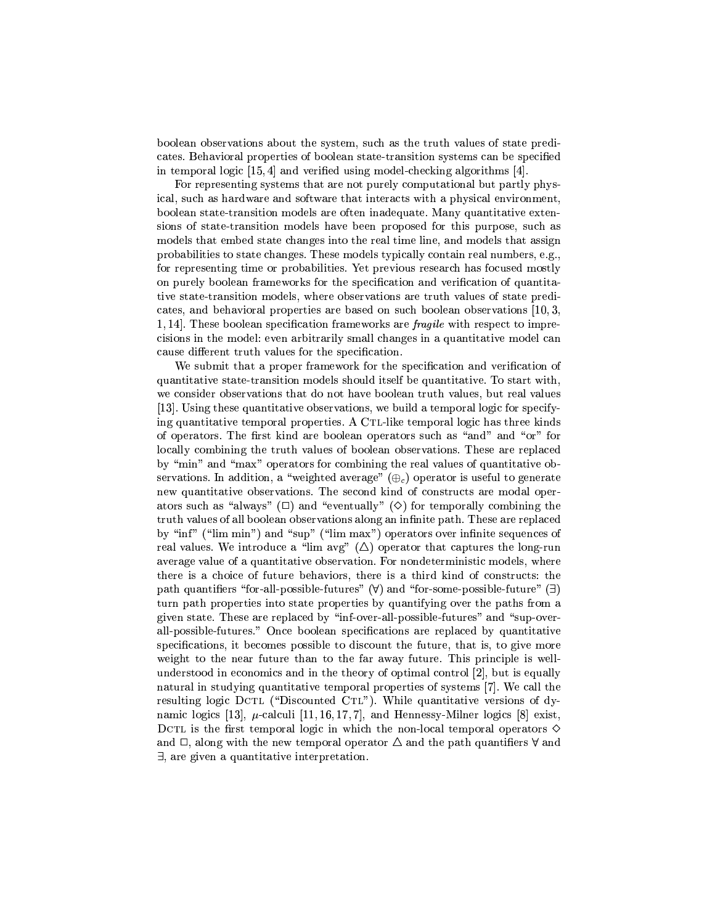boolean observations about the system, such as the truth values of state predicates. Behavioral properties of boolean state-transition systems can be specified in temporal logic  $[15, 4]$  and verified using model-checking algorithms  $[4]$ .

For representing systems that are not purely computational but partly physical, such as hardware and software that interacts with a physical environment, boolean state-transition models are often inadequate. Many quantitative extensions of state-transition models have been proposed for this purpose, such as models that embed state changes into the real time line, and models that assign probabilities to state changes. These models typically contain real numbers, e.g., for representing time or probabilities. Yet previous research has focused mostly on purely boolean frameworks for the specification and verification of quantitative state-transition models, where observations are truth values of state predicates, and behavioral properties are based on such boolean observations [10, 3,  $1,14$ . These boolean specification frameworks are *fragile* with respect to imprecisions in the model: even arbitrarily small changes in a quantitative model can cause different truth values for the specification.

We submit that a proper framework for the specification and verification of quantitative state-transition models should itself be quantitative. To start with, we consider observations that do not have boolean truth values, but real values [13]. Using these quantitative observations, we build a temporal logic for specifying quantitative temporal properties. A C<sub>TL</sub>-like temporal logic has three kinds of operators. The first kind are boolean operators such as "and" and "or" for locally combining the truth values of boolean observations. These are replaced by "min" and "max" operators for combining the real values of quantitative observations. In addition, a "weighted average"  $(\oplus_c)$  operator is useful to generate new quantitative observations. The second kind of constructs are modal operators such as "always"  $(\Box)$  and "eventually"  $(\Diamond)$  for temporally combining the truth values of all boolean observations along an infinite path. These are replaced by "inf" ("lim min") and "sup" ("lim max") operators over infinite sequences of real values. We introduce a "lim avg"  $(\triangle)$  operator that captures the long-run average value of a quantitative observation. For nondeterministic models, where there is a choice of future behaviors, there is a third kind of constructs: the path quantifiers "for-all-possible-futures"  $(\forall)$  and "for-some-possible-future"  $(\exists)$ turn path properties into state properties by quantifying over the paths from a given state. These are replaced by "inf-over-all-possible-futures" and "sup-overall-possible-futures," Once boolean specifications are replaced by quantitative specifications, it becomes possible to discount the future, that is, to give more weight to the near future than to the far away future. This principle is wellunderstood in economics and in the theory of optimal control [2], but is equally natural in studying quantitative temporal properties of systems [7]. We call the resulting logic DCTL ("Discounted CTL"). While quantitative versions of dynamic logics [13],  $\mu$ -calculi [11, 16, 17, 7], and Hennessy-Milner logics [8] exist, DCTL is the first temporal logic in which the non-local temporal operators  $\diamond$ and  $\Box$ , along with the new temporal operator  $\Delta$  and the path quantifiers  $\forall$  and  $\exists$ , are given a quantitative interpretation.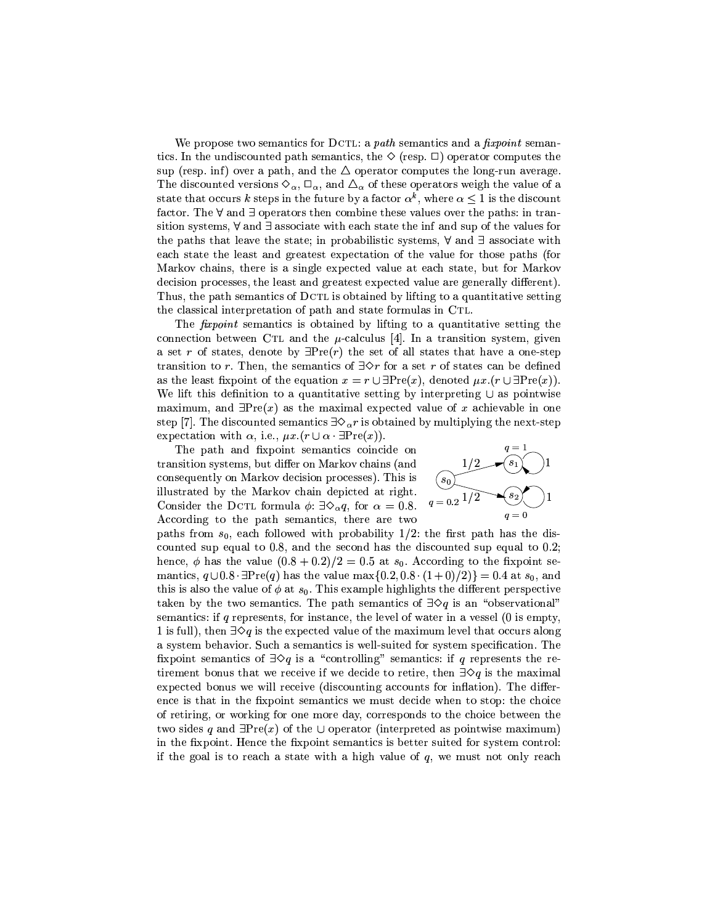We propose two semantics for DCTL: a *path* semantics and a *fixpoint* semantics. In the undiscounted path semantics, the  $\Diamond$  (resp.  $\Box$ ) operator computes the sup (resp. inf) over a path, and the  $\Delta$  operator computes the long-run average. The discounted versions  $\Diamond_{\alpha}$ ,  $\Box_{\alpha}$ , and  $\Delta_{\alpha}$  of these operators weigh the value of a state that occurs k steps in the future by a factor  $\alpha^k$ , where  $\alpha \leq 1$  is the discount factor. The  $\forall$  and  $\exists$  operators then combine these values over the paths: in transition systems,  $\forall$  and  $\exists$  associate with each state the inf and sup of the values for the paths that leave the state; in probabilistic systems,  $\forall$  and  $\exists$  associate with each state the least and greatest expectation of the value for those paths (for Markov chains, there is a single expected value at each state, but for Markov decision processes, the least and greatest expected value are generally different). Thus, the path semantics of DCTL is obtained by lifting to a quantitative setting the classical interpretation of path and state formulas in CTL.

The *fixpoint* semantics is obtained by lifting to a quantitative setting the connection between CTL and the  $\mu$ -calculus [4]. In a transition system, given a set r of states, denote by  $\exists \text{Pre}(r)$  the set of all states that have a one-step transition to r. Then, the semantics of  $\exists \Diamond r$  for a set r of states can be defined as the least fixpoint of the equation  $x = r \cup \exists \text{Pre}(x)$ , denoted  $\mu x.(r \cup \exists \text{Pre}(x))$ . We lift this definition to a quantitative setting by interpreting  $\cup$  as pointwise maximum, and  $\exists Pre(x)$  as the maximal expected value of x achievable in one step [7]. The discounted semantics  $\exists \Diamond_\alpha r$  is obtained by multiplying the next-step expectation with  $\alpha$ , i.e.,  $\mu x.(r \cup \alpha \cdot \exists \text{Pre}(x)).$ 

The path and fixpoint semantics coincide on transition systems, but differ on Markov chains (and consequently on Markov decision processes). This is illustrated by the Markov chain depicted at right. Consider the DCTL formula  $\phi$ :  $\exists \Diamond_{\alpha} q$ , for  $\alpha = 0.8$ . According to the path semantics, there are two



paths from  $s_0$ , each followed with probability  $1/2$ : the first path has the discounted sup equal to 0.8, and the second has the discounted sup equal to 0.2 hence,  $\phi$  has the value  $(0.8 + 0.2)/2 = 0.5$  at  $s_0$ . According to the fixpoint semantics,  $q \cup 0.8 \cdot \exists \text{Pre}(q)$  has the value max $\{0.2, 0.8 \cdot (1+0)/2\} = 0.4$  at  $s_0$ , and this is also the value of  $\phi$  at  $s_0$ . This example highlights the different perspective taken by the two semantics. The path semantics of  $\exists \Diamond q$  is an "observational" semantics: if q represents, for instance, the level of water in a vessel (0 is empty, 1 is full), then  $\exists \Diamond q$  is the expected value of the maximum level that occurs along a system behavior. Such a semantics is well-suited for system specification. The fixpoint semantics of  $\exists \Diamond q$  is a "controlling" semantics: if q represents the retirement bonus that we receive if we decide to retire, then  $\exists \Diamond q$  is the maximal expected bonus we will receive (discounting accounts for inflation). The difference is that in the fixpoint semantics we must decide when to stop: the choice of retiring, or working for one more day, corresponds to the choice between the two sides q and  $\exists \text{Pre}(x)$  of the  $\cup$  operator (interpreted as pointwise maximum) in the fixpoint. Hence the fixpoint semantics is better suited for system control: if the goal is to reach a state with a high value of  $q$ , we must not only reach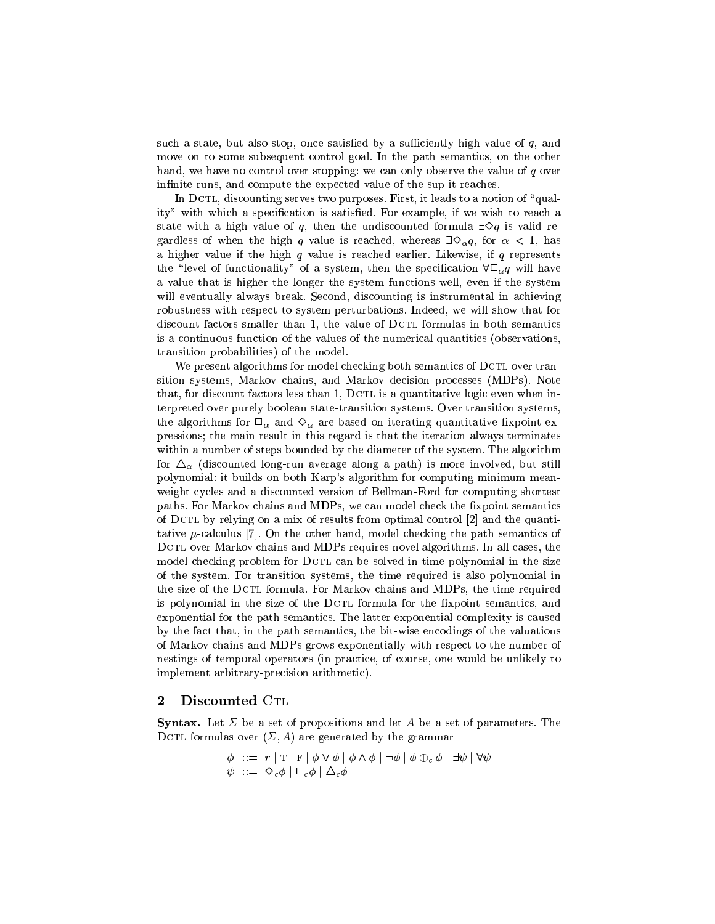such a state, but also stop, once satisfied by a sufficiently high value of  $q$ , and move on to some subsequent control goal. In the path semantics, on the other hand, we have no control over stopping: we can only observe the value of  $q$  over infinite runs, and compute the expected value of the sup it reaches.

In DCTL, discounting serves two purposes. First, it leads to a notion of "quality" with which a specification is satisfied. For example, if we wish to reach a state with a high value of q, then the undiscounted formula  $\exists \Diamond q$  is valid regardless of when the high q value is reached, whereas  $\exists \Diamond_{\alpha} q$ , for  $\alpha < 1$ , has a higher value if the high  $q$  value is reached earlier. Likewise, if  $q$  represents the "level of functionality" of a system, then the specification  $\forall \Box_{\alpha} q$  will have a value that is higher the longer the system functions well, even if the system will eventually always break. Second, discounting is instrumental in achieving robustness with respect to system perturbations. Indeed, we will show that for discount factors smaller than 1, the value of DCTL formulas in both semantics is a continuous function of the values of the numerical quantities (observations, transition probabilities) of the model.

We present algorithms for model checking both semantics of DCTL over transition systems, Markov chains, and Markov decision processes (MDPs). Note that, for discount factors less than 1, DCTL is a quantitative logic even when interpreted over purely boolean state-transition systems. Over transition systems. the algorithms for  $\Box_{\alpha}$  and  $\Diamond_{\alpha}$  are based on iterating quantitative fixpoint expressions; the main result in this regard is that the iteration always terminates within a number of steps bounded by the diameter of the system. The algorithm for  $\Delta_{\alpha}$  (discounted long-run average along a path) is more involved, but still polynomial: it builds on both Karp's algorithm for computing minimum meanweight cycles and a discounted version of Bellman-Ford for computing shortest paths. For Markov chains and MDPs, we can model check the fixpoint semantics of DCTL by relying on a mix of results from optimal control [2] and the quantitative  $\mu$ -calculus [7]. On the other hand, model checking the path semantics of DCTL over Markov chains and MDPs requires novel algorithms. In all cases, the model checking problem for DCTL can be solved in time polynomial in the size of the system. For transition systems, the time required is also polynomial in the size of the DCTL formula. For Markov chains and MDPs, the time required is polynomial in the size of the DCTL formula for the fixpoint semantics, and exponential for the path semantics. The latter exponential complexity is caused by the fact that, in the path semantics, the bit-wise encodings of the valuations of Markov chains and MDPs grows exponentially with respect to the number of nestings of temporal operators (in practice, of course, one would be unlikely to implement arbitrary-precision arithmetic).

# $\overline{2}$ Discounted CTL

**Syntax.** Let  $\Sigma$  be a set of propositions and let A be a set of parameters. The DCTL formulas over  $(\Sigma, A)$  are generated by the grammar

$$
\begin{array}{ll}\n\phi & ::= & r | \mathbf{T} | F | \phi \vee \phi | \phi \wedge \phi | \neg \phi | \phi \oplus_c \phi | \exists \psi | \forall \psi \\
\psi & ::= & \Diamond_c \phi | \Box_c \phi | \Delta_c \phi\n\end{array}
$$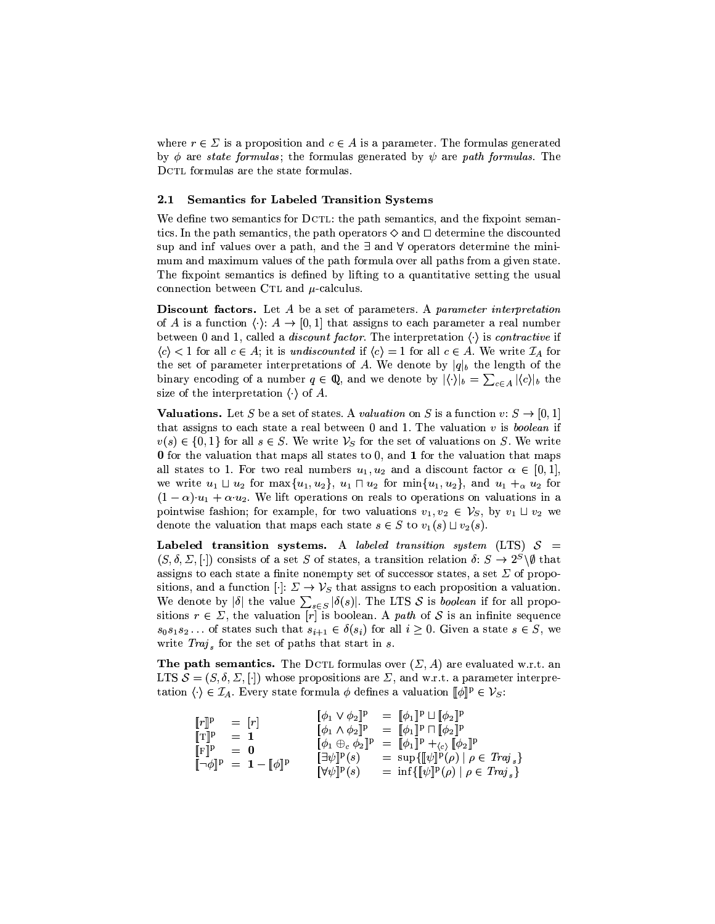where  $r \in \Sigma$  is a proposition and  $c \in A$  is a parameter. The formulas generated by  $\phi$  are *state formulas*; the formulas generated by  $\psi$  are *path formulas*. The DCTL formulas are the state formulas.

#### $2.1$ **Semantics for Labeled Transition Systems**

We define two semantics for DCTL: the path semantics, and the fixpoint semantics. In the path semantics, the path operators  $\Diamond$  and  $\Box$  determine the discounted sup and inf values over a path, and the  $\exists$  and  $\forall$  operators determine the minimum and maximum values of the path formula over all paths from a given state. The fixpoint semantics is defined by lifting to a quantitative setting the usual connection between CTL and  $\mu$ -calculus.

**Discount factors.** Let A be a set of parameters. A *parameter interpretation* of A is a function  $\langle \cdot \rangle$ :  $A \rightarrow [0, 1]$  that assigns to each parameter a real number between 0 and 1, called a *discount factor*. The interpretation  $\langle \cdot \rangle$  is *contractive* if  $\langle c \rangle$  < 1 for all  $c \in A$ ; it is *undiscounted* if  $\langle c \rangle = 1$  for all  $c \in A$ . We write  $\mathcal{I}_A$  for the set of parameter interpretations of A. We denote by  $|q|_b$  the length of the binary encoding of a number  $q \in \mathbb{Q}$ , and we denote by  $|\langle \cdot \rangle|_{b} = \sum_{c \in A} |\langle c \rangle|_{b}$  the size of the interpretation  $\langle \cdot \rangle$  of A.

**Valuations.** Let S be a set of states. A valuation on S is a function  $v: S \to [0,1]$ that assigns to each state a real between 0 and 1. The valuation  $v$  is boolean if  $v(s) \in \{0,1\}$  for all  $s \in S$ . We write  $\mathcal{V}_S$  for the set of valuations on S. We write 0 for the valuation that maps all states to 0, and 1 for the valuation that maps all states to 1. For two real numbers  $u_1, u_2$  and a discount factor  $\alpha \in [0,1]$ , we write  $u_1 \sqcup u_2$  for  $\max\{u_1, u_2\}$ ,  $u_1 \sqcap u_2$  for  $\min\{u_1, u_2\}$ , and  $u_1 +_{\alpha} u_2$  for  $(1 - \alpha) \cdot u_1 + \alpha \cdot u_2$ . We lift operations on reals to operations on valuations in a pointwise fashion; for example, for two valuations  $v_1, v_2 \in V_S$ , by  $v_1 \sqcup v_2$  we denote the valuation that maps each state  $s \in S$  to  $v_1(s) \sqcup v_2(s)$ .

Labeled transition systems. A labeled transition system (LTS)  $S =$  $(S, \delta, \Sigma, [\cdot])$  consists of a set S of states, a transition relation  $\delta: S \to 2^S \setminus \emptyset$  that assigns to each state a finite nonempty set of successor states, a set  $\Sigma$  of propositions, and a function  $[\cdot]: \Sigma \to V_S$  that assigns to each proposition a valuation. We denote by  $|\delta|$  the value  $\sum_{s \in S} |\delta(s)|$ . The LTS S is boolean if for all propositions  $r \in \Sigma$ , the valuation  $[r]$  is boolean. A *path* of S is an infinite sequence  $s_0s_1s_2...$  of states such that  $s_{i+1} \in \delta(s_i)$  for all  $i \geq 0$ . Given a state  $s \in S$ , we write  $Traj_s$  for the set of paths that start in s.

**The path semantics.** The DCTL formulas over  $(\Sigma, A)$  are evaluated w.r.t. an LTS  $S = (S, \delta, \Sigma, [\cdot])$  whose propositions are  $\Sigma$ , and w.r.t. a parameter interpretation  $\langle \cdot \rangle \in \mathcal{I}_A$ . Every state formula  $\phi$  defines a valuation  $[\![\phi]\!]^p \in \mathcal{V}_S$ :

 $\overline{a}$ 

$$
\begin{array}{rcl}\n[r]^{\mathrm{p}} & = & [r] & [\phi_1 \vee \phi_2]^{\mathrm{p}} = & [\phi_1]^\mathrm{p} \sqcup [\phi_2]^{\mathrm{p}} \\
[r]^{\mathrm{p}} & = & 1 & [\phi_1 \wedge \phi_2]^{\mathrm{p}} = & [\phi_1]^\mathrm{p} \sqcap [\phi_2]^{\mathrm{p}} \\
[F]^{\mathrm{p}} & = & 0 & [\phi_1 \oplus_c \phi_2]^{\mathrm{p}} = & [\phi_1]^\mathrm{p} + \langle_c \rangle \llbracket \phi_2 \rrbracket^{\mathrm{p}} \\
[\neg \phi]^\mathrm{p} & = & 1 - [\phi]^\mathrm{p} & [\forall \psi]^\mathrm{p}(s) & = & \inf \{ [\psi]^\mathrm{p}(\rho) \mid \rho \in \text{Traj}_s \} \\
[\forall \psi]^\mathrm{p}(s) & = & \inf \{ [\psi]^\mathrm{p}(\rho) \mid \rho \in \text{Traj}_s \} & \end{array}
$$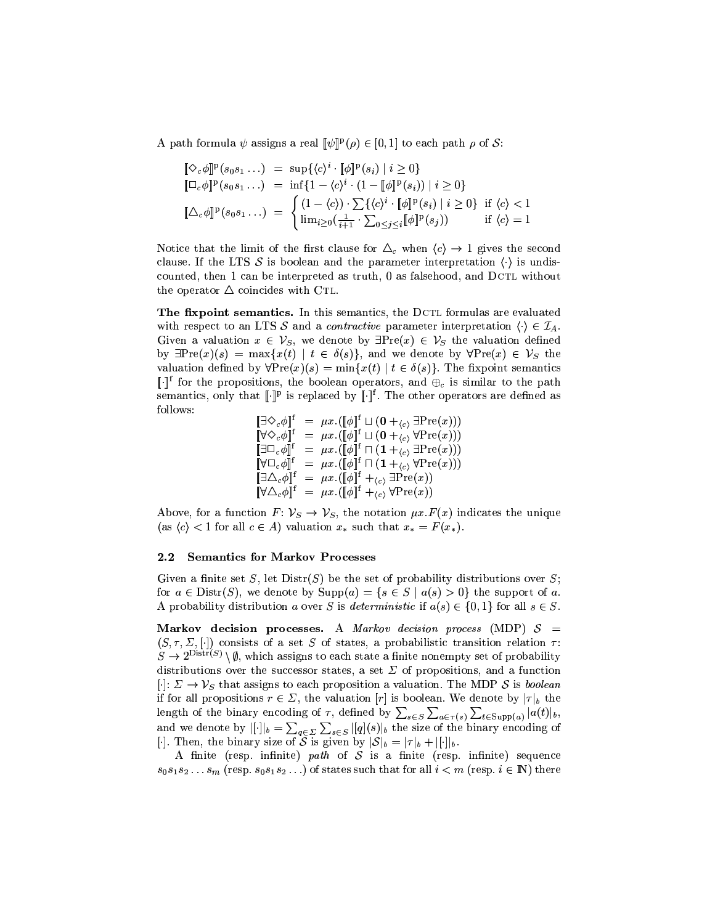A path formula  $\psi$  assigns a real  $[\![\psi]\!]^p(\rho) \in [0,1]$  to each path  $\rho$  of S:

$$
\begin{aligned}\n\llbracket \diamond_c \phi \rrbracket^{\mathbf{p}}(s_0 s_1 \ldots) &= \sup \{ \langle c \rangle^i \cdot \llbracket \phi \rrbracket^{\mathbf{p}}(s_i) \mid i \ge 0 \} \\
\llbracket \Box_c \phi \rrbracket^{\mathbf{p}}(s_0 s_1 \ldots) &= \inf \{ 1 - \langle c \rangle^i \cdot (1 - \llbracket \phi \rrbracket^{\mathbf{p}}(s_i)) \mid i \ge 0 \} \\
\llbracket \triangle_c \phi \rrbracket^{\mathbf{p}}(s_0 s_1 \ldots) &= \begin{cases}\n(1 - \langle c \rangle) \cdot \sum \{ \langle c \rangle^i \cdot \llbracket \phi \rrbracket^{\mathbf{p}}(s_i) \mid i \ge 0 \} & \text{if } \langle c \rangle < 1 \\
\lim_{i \ge 0} \left( \frac{1}{i+1} \cdot \sum_{0 < j < i} \llbracket \phi \rrbracket^{\mathbf{p}}(s_j) \right) & \text{if } \langle c \rangle = 1\n\end{cases}\n\end{aligned}
$$

Notice that the limit of the first clause for  $\Delta_c$  when  $\langle c \rangle \rightarrow 1$  gives the second clause. If the LTS S is boolean and the parameter interpretation  $\langle \cdot \rangle$  is undiscounted, then 1 can be interpreted as truth, 0 as falsehood, and DCTL without the operator  $\triangle$  coincides with CTL.

The fixpoint semantics. In this semantics, the DCTL formulas are evaluated with respect to an LTS S and a *contractive* parameter interpretation  $\langle \cdot \rangle \in \mathcal{I}_A$ . Given a valuation  $x \in V_S$ , we denote by  $\exists \text{Pre}(x) \in V_S$  the valuation defined by  $\exists \text{Pre}(x)(s) = \max\{x(t) | t \in \delta(s)\}\$ , and we denote by  $\forall \text{Pre}(x) \in \mathcal{V}_S$  the valuation defined by  $\forall \text{Pre}(x)(s) = \min\{x(t) | t \in \delta(s)\}\.$  The fixpoint semantics  $\llbracket \cdot \rrbracket^{\text{f}}$  for the propositions, the boolean operators, and  $\oplus_c$  is similar to the path semantics, only that  $\llbracket \cdot \rrbracket^p$  is replaced by  $\llbracket \cdot \rrbracket^f$ . The other operators are defined as follows:

$$
\begin{array}{rcl} [\exists \diamondsuit_c \phi]^\mathrm{f} & = & \mu x. ([\![\phi]\mathrm{f} \sqcup (0+_{\langle c\rangle} \exists \mathrm{Pre}(x)))\\ [\![\forall \diamondsuit_c \phi]^\mathrm{f} & = & \mu x. ([\![\phi]\mathrm{f} \sqcup (0+_{\langle c\rangle} \forall \mathrm{Pre}(x)))\\ [\![\exists \Box_c \phi]^\mathrm{f} & = & \mu x. ([\![\phi]\mathrm{f} \sqcap (1+_{\langle c\rangle} \exists \mathrm{Pre}(x)))\\ [\![\forall \Box_c \phi]^\mathrm{f} & = & \mu x. ([\![\phi]\mathrm{f} \sqcap (1+_{\langle c\rangle} \forall \mathrm{Pre}(x)))\\ [\![\exists \Delta_c \phi]^\mathrm{f} & = & \mu x. ([\![\phi]\mathrm{f} +_{\langle c\rangle} \exists \mathrm{Pre}(x))\\ [\![\forall \Delta_c \phi]^\mathrm{f} & = & \mu x. ([\![\phi]\mathrm{f} +_{\langle c\rangle} \forall \mathrm{Pre}(x)) \end{array}
$$

Above, for a function  $F: \mathcal{V}_S \to \mathcal{V}_S$ , the notation  $\mu x.F(x)$  indicates the unique (as  $\langle c \rangle$  < 1 for all  $c \in A$ ) valuation  $x_*$  such that  $x_* = F(x_*)$ .

## $2.2$ **Semantics for Markov Processes**

Given a finite set S, let  $Dist(S)$  be the set of probability distributions over S; for  $a \in \text{Distr}(S)$ , we denote by  $\text{Supp}(a) = \{s \in S \mid a(s) > 0\}$  the support of a. A probability distribution a over S is deterministic if  $a(s) \in \{0, 1\}$  for all  $s \in S$ .

Markov decision processes. A Markov decision process (MDP)  $S =$  $(S, \tau, \Sigma, [\cdot])$  consists of a set S of states, a probabilistic transition relation  $\tau$ :  $S \to 2^{\text{Dist}(S)} \setminus \emptyset$ , which assigns to each state a finite nonempty set of probability distributions over the successor states, a set  $\Sigma$  of propositions, and a function  $[\cdot] \colon \Sigma \to V_S$  that assigns to each proposition a valuation. The MDP S is boolean if for all propositions  $r \in \Sigma$ , the valuation [r] is boolean. We denote by  $|\tau|_b$  the length of the binary encoding of  $\tau$ , defined by  $\sum_{s \in S} \sum_{a \in \tau(s)} \sum_{t \in \text{Supp}(a)} |a(t)|_b$ ,<br>and we denote by  $|\lceil \cdot \rceil|_b = \sum_{q \in \Sigma} \sum_{s \in S} |q|(s)|_b$  the size of the binary encoding of<br>[·]. Then, the binary size of S is giv

A finite (resp. infinite) path of  $S$  is a finite (resp. infinite) sequence  $s_0s_1s_2...s_m$  (resp.  $s_0s_1s_2...$ ) of states such that for all  $i < m$  (resp.  $i \in \mathbb{N}$ ) there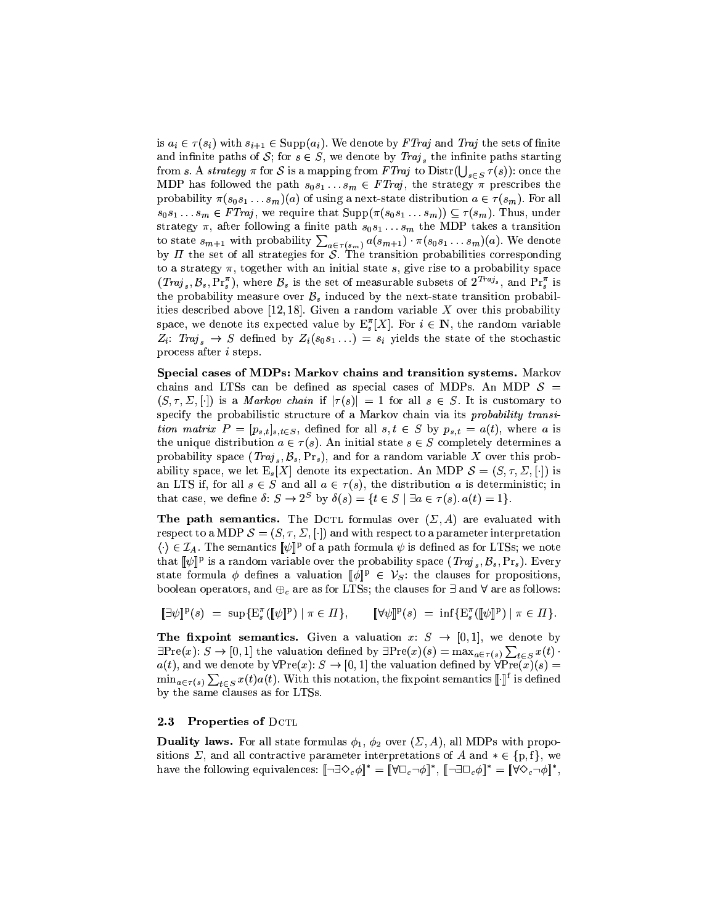is  $a_i \in \tau(s_i)$  with  $s_{i+1} \in \text{Supp}(a_i)$ . We denote by *FTraj* and Traj the sets of finite and infinite paths of S; for  $s \in S$ , we denote by  $Traj_{s}$  the infinite paths starting from s. A strategy  $\pi$  for S is a mapping from FTraj to Distr( $\bigcup_{s \in S} \tau(s)$ ): once the MDP has followed the path  $s_0s_1...s_m \in FTraj$ , the strategy  $\pi$  prescribes the probability  $\pi(s_0s_1 \ldots s_m)(a)$  of using a next-state distribution  $a \in \tau(s_m)$ . For all  $s_0s_1...s_m \in FTraj$ , we require that  $\text{Supp}(\pi(s_0s_1...s_m)) \subseteq \tau(s_m)$ . Thus, under strategy  $\pi$ , after following a finite path  $s_0 s_1 \dots s_m$  the MDP takes a transition to state  $s_{m+1}$  with probability  $\sum_{a \in \tau(s_m)} a(s_{m+1}) \cdot \pi(s_0 s_1 \dots s_m)(a)$ . We denote by  $\Pi$  the set of all strategies for S. The transition probabilities corresponding to a strategy  $\pi$ , together with an initial state  $s$ , give rise to a probability space  $(Traj_s, \mathcal{B}_s, \Pr_s^{\pi})$ , where  $\mathcal{B}_s$  is the set of measurable subsets of  $2^{Traj_s}$ , and  $\Pr_s^{\pi}$  is the probability measure over  $\mathcal{B}_s$  induced by the next-state transition probabilities described above [12, 18]. Given a random variable X over this probability space, we denote its expected value by  $E_s^{\pi}[X]$ . For  $i \in \mathbb{N}$ , the random variable  $Z_i$ : Traj<sub>s</sub>  $\rightarrow$  S defined by  $Z_i(s_0s_1...) = s_i$  yields the state of the stochastic process after *i* steps.

Special cases of MDPs: Markov chains and transition systems. Markov chains and LTSs can be defined as special cases of MDPs. An MDP  $\mathcal{S}$  =  $(S, \tau, \Sigma, [\cdot])$  is a *Markov chain* if  $|\tau(s)| = 1$  for all  $s \in S$ . It is customary to specify the probabilistic structure of a Markov chain via its *probability transi*tion matrix  $P = [p_{s,t}]_{s,t \in S}$ , defined for all  $s,t \in S$  by  $p_{s,t} = a(t)$ , where a is the unique distribution  $a \in \tau(s)$ . An initial state  $s \in S$  completely determines a probability space  $(Traj_s, B_s, Pr_s)$ , and for a random variable X over this probability space, we let  $E_s[X]$  denote its expectation. An MDP  $S = (S, \tau, \Sigma, [\cdot])$  is an LTS if, for all  $s \in S$  and all  $a \in \tau(s)$ , the distribution a is deterministic; in that case, we define  $\delta: S \to 2^S$  by  $\delta(s) = \{t \in S \mid \exists a \in \tau(s) \cdot a(t) = 1\}.$ 

The path semantics. The DCTL formulas over  $(\Sigma, A)$  are evaluated with respect to a MDP  $S = (S, \tau, \Sigma, [\cdot])$  and with respect to a parameter interpretation  $\langle \cdot \rangle \in \mathcal{I}_A$ . The semantics  $[\![\psi]\!]^p$  of a path formula  $\psi$  is defined as for LTSs; we note that  $[\![\psi]\!]^p$  is a random variable over the probability space  $(Traj_s, \mathcal{B}_s, Pr_s)$ . Every state formula  $\phi$  defines a valuation  $[\![\phi]\!]^p \in V_S$ : the clauses for propositions boolean operators, and  $\oplus_c$  are as for LTSs; the clauses for  $\exists$  and  $\forall$  are as follows:

$$
[\![\exists \psi]\!]^p(s) \ = \ \sup \{ \mathcal{E}^\pi_s([\![\psi]\!]^p) \ \vert \ \pi \in \varPi \}, \qquad [\![\forall \psi]\!]^p(s) \ = \ \inf \{ \mathcal{E}^\pi_s([\![\psi]\!]^p) \ \vert \ \pi \in \varPi \}.
$$

The fixpoint semantics. Given a valuation  $x: S \rightarrow [0,1]$ , we denote by  $\exists \text{Pre}(x): S \to [0,1]$  the valuation defined by  $\exists \text{Pre}(x)(s) = \max_{a \in \tau(s)} \sum_{t \in S} x(t)$ .  $a(t)$ , and we denote by  $\forall \text{Pre}(x): S \to [0,1]$  the valuation defined by  $\forall \text{Pre}(\tilde{x})(s) =$  $\min_{a \in \tau(s)} \sum_{t \in S} x(t) a(t)$ . With this notation, the fixpoint semantics  $\llbracket \cdot \rrbracket^f$  is defined by the same clauses as for LTSs.

# **Properties of DCTL**  $2.3$

**Duality laws.** For all state formulas  $\phi_1$ ,  $\phi_2$  over  $(\Sigma, A)$ , all MDPs with propositions  $\Sigma$ , and all contractive parameter interpretations of A and  $* \in \{p, f\}$ , we have the following equivalences:  $[\neg \exists \Diamond_c \phi]^* = [\![ \forall \Box_c \neg \phi] \!]^*, [\![ \neg \exists \Box_c \phi] \!]^* = [\![ \forall \Diamond_c \neg \phi] \!]^*,$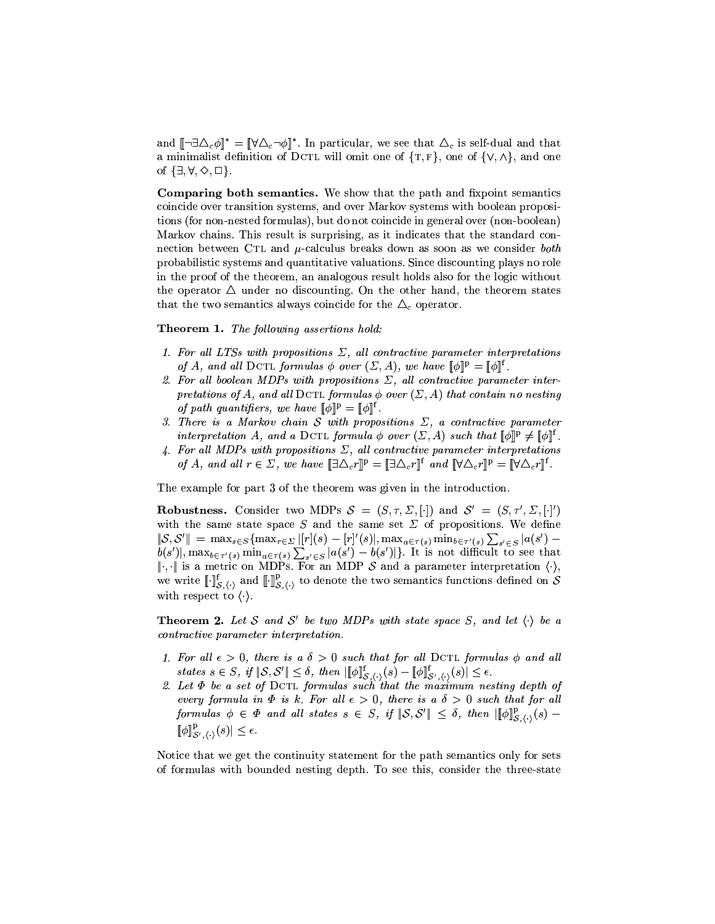and  $[\neg \exists \Delta_c \phi]^* = [\nabla \Delta_c \neg \phi]^*$ . In particular, we see that  $\Delta_c$  is self-dual and that a minimalist definition of DCTL will omit one of  $\{\text{T},\text{F}\}\text{,}$  one of  $\{\vee,\wedge\}\text{,}$  and one of  $\{\exists, \forall, \diamondsuit, \Box\}.$ 

**Comparing both semantics.** We show that the path and fixpoint semantics coincide over transition systems, and over Markov systems with boolean propositions (for non-nested formulas), but do not coincide in general over (non-boolean) Markov chains. This result is surprising, as it indicates that the standard connection between CTL and  $\mu$ -calculus breaks down as soon as we consider *both* probabilistic systems and quantitative valuations. Since discounting plays no role in the proof of the theorem, an analogous result holds also for the logic without the operator  $\Delta$  under no discounting. On the other hand, the theorem states that the two semantics always coincide for the  $\Delta_c$  operator.

Theorem 1. The following assertions hold:

- 1. For all LTSs with propositions  $\Sigma$ , all contractive parameter interpretations of A, and all DCTL formulas  $\phi$  over  $(\Sigma, A)$ , we have  $[\![\phi]\!]^p = [\![\phi]\!]^f$ .
- 2. For all boolean MDPs with propositions  $\Sigma$ , all contractive parameter interpretations of A, and all DCTL formulas  $\phi$  over  $(\Sigma, A)$  that contain no nesting of path quantifiers, we have  $\llbracket \phi \rrbracket^{\mathrm{p}} = \llbracket \phi \rrbracket^{\mathrm{f}}$ .
- 3. There is a Markov chain S with propositions  $\Sigma$ , a contractive parameter interpretation A, and a DCTL formula  $\phi$  over  $(\Sigma, A)$  such that  $[\![\phi]\!]^p \neq [\![\phi]\!]^f$ .
- 4. For all MDPs with propositions  $\Sigma$ , all contractive parameter interpretations of A, and all  $r \in \Sigma$ , we have  $\|\exists \Delta_c r\|^p = \|\exists \Delta_c r\|^f$  and  $\|\forall \Delta_c r\|^p = \|\forall \Delta_c r\|^f$ .

The example for part 3 of the theorem was given in the introduction.

**Robustness.** Consider two MDPs  $S = (S, \tau, \Sigma, [\cdot])$  and  $S' = (S, \tau', \Sigma, [\cdot]')$ with the same state space  $S$  and the same set  $\Sigma$  of propositions. We define  $\|S, S'\| = \max_{s \in S} \{ \max_{r \in \Sigma} |[r](s) - [r]'(s)|, \max_{a \in \tau(s)} \min_{b \in \tau'(s)} \sum_{s' \in S} |a(s')$  $b(s')|, \max_{b \in \tau'(s)} \min_{a \in \tau(s)} \sum_{s' \in S} |a(s') - b(s')|$ . It is not difficult to see that  $\|\cdot,\cdot\|$  is a metric on MDPs. For an MDP S and a parameter interpretation  $\langle \cdot \rangle$ , we write  $[\![\cdot]\!]_{S,(.)}^{\mathrm{f}}$  and  $[\![\cdot]\!]_{S,(.)}^{\mathrm{p}}$  to denote the two semantics functions defined on S with respect to  $\langle \cdot \rangle$ .

**Theorem 2.** Let S and S' be two MDPs with state space S, and let  $\langle \cdot \rangle$  be a  $contractive\ parameter\ interpretation.$ 

- 1. For all  $\epsilon > 0$ , there is a  $\delta > 0$  such that for all DCTL formulas  $\phi$  and all  $\textit{states } s \in S, \; \textit{if} \; \| \mathcal{S}, \mathcal{S}'\| \leq \delta, \; \textit{then} \; \| \llbracket \phi \rrbracket^{\mathrm{f}}_{\mathcal{S}, \langle \cdot \rangle}(s) - \llbracket \phi \rrbracket^{\mathrm{f}}_{\mathcal{S}', \langle \cdot \rangle}(s)| \leq \epsilon.$
- 2. Let  $\Phi$  be a set of DCTL formulas such that the maximum nesting depth of every formula in  $\Phi$  is k. For all  $\epsilon > 0$ , there is a  $\delta > 0$  such that for all formulas  $\phi \in \Phi$  and all states  $s \in S$ , if  $\|S, S'\| \leq \delta$ , then  $\|[\![\phi]\!]_{S,\langle \cdot \rangle}^{\mathbf{p}}(s)$  $[\![\phi]\!]_{S',\langle\cdot\rangle}^{\mathrm{p}}(s)|\leq\epsilon.$

Notice that we get the continuity statement for the path semantics only for sets of formulas with bounded nesting depth. To see this, consider the three-state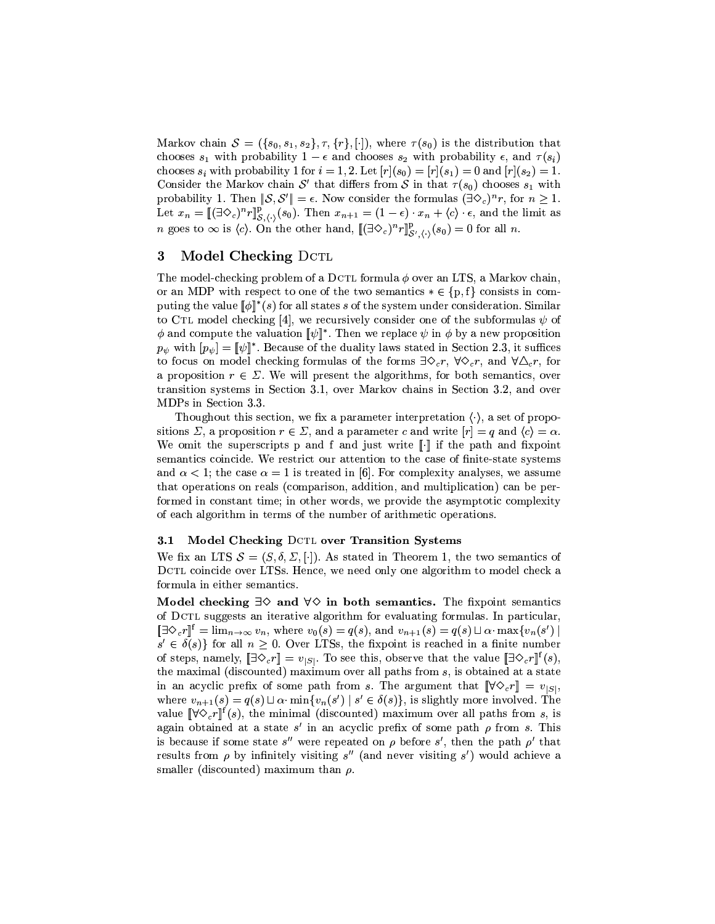Markov chain  $S = (\{s_0, s_1, s_2\}, \tau, \{r\}, [\cdot])$ , where  $\tau(s_0)$  is the distribution that chooses  $s_1$  with probability  $1 - \epsilon$  and chooses  $s_2$  with probability  $\epsilon$ , and  $\tau(s_i)$ chooses  $s_i$  with probability 1 for  $i = 1, 2$ . Let  $[r](s_0) = [r](s_1) = 0$  and  $[r](s_2) = 1$ . Consider the Markov chain S' that differs from S in that  $\tau(s_0)$  chooses  $s_1$  with probability 1. Then  $\|\mathcal{S}, \mathcal{S}'\| = \epsilon$ . Now consider the formulas  $(\exists \diamond_c)^n r$ , for  $n \geq 1$ . Let  $x_n = [(\exists \diamond_c)^n r]_{\mathcal{S},\langle \cdot \rangle}^p(s_0)$ . Then  $x_{n+1} = (1 - \epsilon) \cdot x_n + \langle c \rangle \cdot \epsilon$ , and the limit as *n* goes to  $\infty$  is  $\langle c \rangle$ . On the other hand,  $[(\exists \diamondsuit_c)^n r]_{S'(\cdot)}^p(s_0) = 0$  for all *n*.

# Model Checking DCTL 3

The model-checking problem of a DCTL formula  $\phi$  over an LTS, a Markov chain, or an MDP with respect to one of the two semantics  $* \in \{p, f\}$  consists in computing the value  $[\![\phi]\!]^*(s)$  for all states s of the system under consideration. Similar to CTL model checking [4], we recursively consider one of the subformulas  $\psi$  of  $\phi$  and compute the valuation  $[\![\psi]\!]^*$ . Then we replace  $\psi$  in  $\phi$  by a new proposition  $p_{\psi}$  with  $[p_{\psi}] = \llbracket \psi \rrbracket^*$ . Because of the duality laws stated in Section 2.3, it suffices to focus on model checking formulas of the forms  $\exists \Diamond_c r$ ,  $\forall \Diamond_c r$ , and  $\forall \Delta_c r$ , for a proposition  $r \in \Sigma$ . We will present the algorithms, for both semantics, over transition systems in Section 3.1, over Markov chains in Section 3.2, and over MDPs in Section 3.3.

Thoughout this section, we fix a parameter interpretation  $\langle \cdot \rangle$ , a set of propositions  $\Sigma$ , a proposition  $r \in \Sigma$ , and a parameter c and write  $[r] = q$  and  $\langle c \rangle = \alpha$ . We omit the superscripts p and f and just write  $\lceil \cdot \rceil$  if the path and fixpoint semantics coincide. We restrict our attention to the case of finite-state systems and  $\alpha$  < 1; the case  $\alpha$  = 1 is treated in [6]. For complexity analyses, we assume that operations on reals (comparison, addition, and multiplication) can be performed in constant time; in other words, we provide the asymptotic complexity of each algorithm in terms of the number of arithmetic operations.

### Model Checking DCTL over Transition Systems  $3.1$

We fix an LTS  $\mathcal{S} = (S, \delta, \Sigma, [\cdot])$ . As stated in Theorem 1, the two semantics of DCTL coincide over LTSs. Hence, we need only one algorithm to model check a formula in either semantics.

Model checking  $\exists \Diamond$  and  $\forall \Diamond$  in both semantics. The fixpoint semantics of DCTL suggests an iterative algorithm for evaluating formulas. In particular,  $[\exists \diamond_{c} r]^{f} = \lim_{n \to \infty} v_n$ , where  $v_0(s) = q(s)$ , and  $v_{n+1}(s) = q(s) \sqcup \alpha \cdot \max\{v_n(s')\}$  $s' \in \delta(s)$  for all  $n \geq 0$ . Over LTSs, the fixpoint is reached in a finite number of steps, namely,  $[\exists \diamond_{c} r] = v_{|S|}$ . To see this, observe that the value  $[\exists \diamond_{c} r]^{f}(s)$ , the maximal (discounted) maximum over all paths from  $s$ , is obtained at a state in an acyclic prefix of some path from s. The argument that  $[\![\forall \diamondsuit_c r]\!] = v_{|S|}$ , where  $v_{n+1}(s) = q(s) \sqcup \alpha \cdot \min\{v_n(s') \mid s' \in \delta(s)\}\)$ , is slightly more involved. The value  $[\nabla \diamond c r]^f(s)$ , the minimal (discounted) maximum over all paths from s, is again obtained at a state s' in an acyclic prefix of some path  $\rho$  from s. This is because if some state s'' were repeated on  $\rho$  before s', then the path  $\rho'$  that results from  $\rho$  by infinitely visiting s'' (and never visiting s') would achieve a smaller (discounted) maximum than  $\rho$ .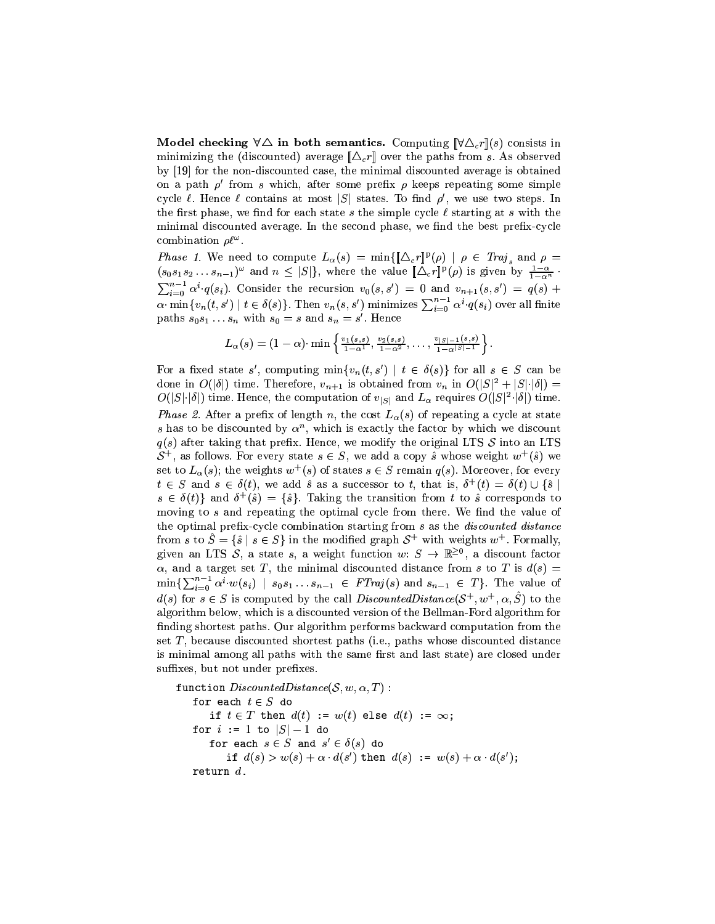Model checking  $\forall \triangle$  in both semantics. Computing  $[\![\forall \triangle_{c} r]\!](s)$  consists in minimizing the (discounted) average  $[\Delta_c r]$  over the paths from s. As observed by [19] for the non-discounted case, the minimal discounted average is obtained on a path  $\rho'$  from s which, after some prefix  $\rho$  keeps repeating some simple cycle  $\ell$ . Hence  $\ell$  contains at most |S| states. To find  $\rho'$ , we use two steps. In the first phase, we find for each state s the simple cycle  $\ell$  starting at s with the minimal discounted average. In the second phase, we find the best prefix-cycle combination  $\rho \ell^{\omega}$ .

*Phase 1.* We need to compute  $L_{\alpha}(s) = \min\{\llbracket \triangle_{c}r\rrbracket^{p}(\rho) \mid \rho \in \text{Traj}_{s} \text{ and } \rho =$  $(s_0s_1s_2...s_{n-1})^{\omega}$  and  $n \leq |S|\}$ , where the value  $[\Delta_c r]\mathbb{P}(\rho)$  is given by  $\frac{1-\alpha}{1-\alpha^n}$ .  $\sum_{i=0}^{n-1} \alpha^i \cdot q(s_i)$ . Consider the recursion  $v_0(s, s') = 0$  and  $v_{n+1}(s, s') = q(s) + \alpha \cdot \min\{v_n(t, s') \mid t \in \delta(s)\}\$ . Then  $v_n(s, s')$  minimizes  $\sum_{i=0}^{n-1} \alpha^i \cdot q(s_i)$  over all finite paths  $s_0s_1...s_n$  with  $s_0 = s$  and  $s_n = s'$ . Hence

$$
L_{\alpha}(s) = (1 - \alpha) \cdot \min \left\{ \frac{v_1(s,s)}{1 - \alpha^1}, \frac{v_2(s,s)}{1 - \alpha^2}, \ldots, \frac{v_{|S|-1}(s,s)}{1 - \alpha^{|S|-1}} \right\}
$$

For a fixed state s', computing  $\min\{v_n(t,s') \mid t \in \delta(s)\}\$ for all  $s \in S$  can be done in  $O(|\delta|)$  time. Therefore,  $v_{n+1}$  is obtained from  $v_n$  in  $O(|S|^2 + |S| \cdot |\delta|)$  $O(|S|\cdot|\delta|)$  time. Hence, the computation of  $v_{|S|}$  and  $L_{\alpha}$  requires  $O(|S|^2\cdot|\delta|)$  time. *Phase 2.* After a prefix of length n, the cost  $L_{\alpha}(s)$  of repeating a cycle at state s has to be discounted by  $\alpha^n$ , which is exactly the factor by which we discount  $q(s)$  after taking that prefix. Hence, we modify the original LTS S into an LTS  $S^+$ , as follows. For every state  $s \in S$ , we add a copy  $\hat{s}$  whose weight  $w^+(\hat{s})$  we set to  $L_{\alpha}(s)$ ; the weights  $w^{+}(s)$  of states  $s \in S$  remain  $q(s)$ . Moreover, for every  $t \in S$  and  $s \in \delta(t)$ , we add  $\hat{s}$  as a successor to t, that is,  $\delta^+(t) = \delta(t) \cup {\hat{s}}$  $s \in \delta(t)$  and  $\delta^+(\hat{s}) = \{\hat{s}\}\$ . Taking the transition from t to  $\hat{s}$  corresponds to moving to  $s$  and repeating the optimal cycle from there. We find the value of the optimal prefix-cycle combination starting from s as the *discounted distance* from s to  $\hat{S} = \{\hat{s} \mid s \in S\}$  in the modified graph  $S^+$  with weights  $w^+$ . Formally, given an LTS  $\mathcal{S}$ , a state s, a weight function  $w: S \to \mathbb{R}^{\geq 0}$ , a discount factor  $\alpha$ , and a target set T, the minimal discounted distance from s to T is  $d(s)$  =  $\min\{\sum_{i=0}^{n-1}\alpha_i\cdot w(s_i)\mid s_0s_1\ldots s_{n-1}\in FTraj(s) \text{ and } s_{n-1}\in T\}.$  The value of  $d(s)$  for  $s \in S$  is computed by the call *DiscountedDistance*( $S^+, w^+, \alpha, \hat{S}$ ) to the algorithm below, which is a discounted version of the Bellman-Ford algorithm for finding shortest paths. Our algorithm performs backward computation from the set T, because discounted shortest paths (i.e., paths whose discounted distance is minimal among all paths with the same first and last state) are closed under suffixes, but not under prefixes.

function  $DiscountedDistance(S, w, \alpha, T)$ : for each  $t \in S$  do if  $t \in T$  then  $d(t) := w(t)$  else  $d(t) := \infty$ ; for  $i := 1$  to  $|S| - 1$  do for each  $s \in S$  and  $s' \in \delta(s)$  do if  $d(s) > w(s) + \alpha \cdot d(s')$  then  $d(s) := w(s) + \alpha \cdot d(s')$ ; return  $d$ .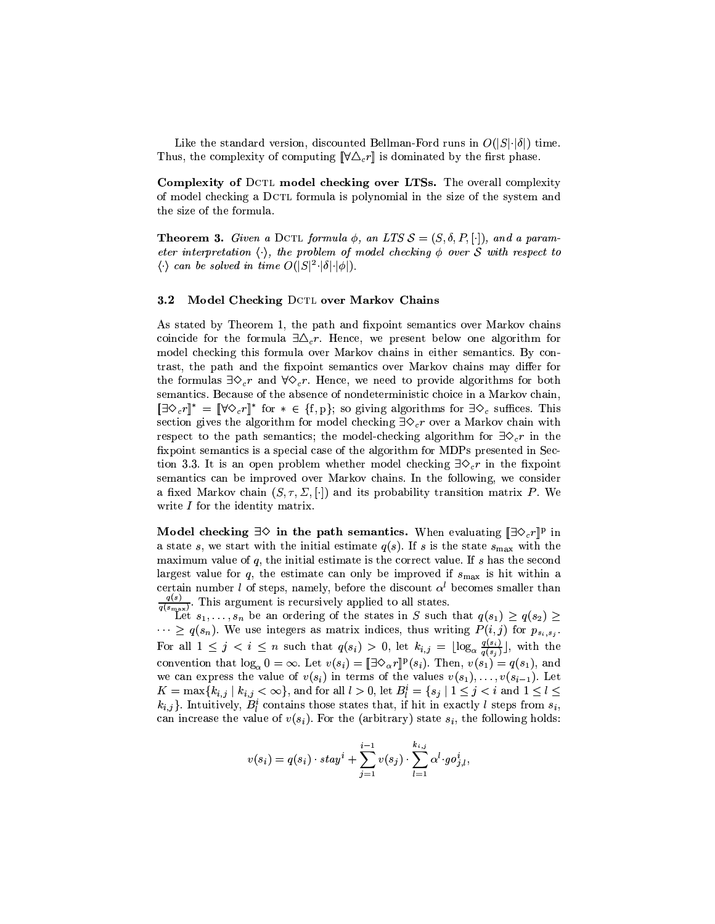Like the standard version, discounted Bellman-Ford runs in  $O(|S|\cdot|\delta|)$  time. Thus, the complexity of computing  $[\forall \Delta_c r]$  is dominated by the first phase.

Complexity of DCTL model checking over LTSs. The overall complexity of model checking a DCTL formula is polynomial in the size of the system and the size of the formula.

**Theorem 3.** Given a DCTL formula  $\phi$ , an LTS  $S = (S, \delta, P, [\cdot])$ , and a parameter interpretation  $\langle \cdot \rangle$ , the problem of model checking  $\phi$  over S with respect to  $\langle \cdot \rangle$  can be solved in time  $O(|S|^2 \cdot |\delta| \cdot |\phi|)$ .

# Model Checking DCTL over Markov Chains  $3.2$

As stated by Theorem 1, the path and fixpoint semantics over Markov chains coincide for the formula  $\exists \Delta_c r$ . Hence, we present below one algorithm for model checking this formula over Markov chains in either semantics. By contrast, the path and the fixpoint semantics over Markov chains may differ for the formulas  $\exists \Diamond_{c} r$  and  $\forall \Diamond_{c} r$ . Hence, we need to provide algorithms for both semantics. Because of the absence of nondeterministic choice in a Markov chain,  $[\exists \diamond_{c} r]^* = [\forall \diamond_{c} r]^*$  for  $* \in \{f, p\}$ ; so giving algorithms for  $\exists \diamond_{c}$  suffices. This section gives the algorithm for model checking  $\exists \diamond_c r$  over a Markov chain with respect to the path semantics; the model-checking algorithm for  $\exists \diamond_{c} r$  in the fixpoint semantics is a special case of the algorithm for MDPs presented in Section 3.3. It is an open problem whether model checking  $\exists \Diamond_r r$  in the fixpoint semantics can be improved over Markov chains. In the following, we consider a fixed Markov chain  $(S, \tau, \Sigma, [\cdot])$  and its probability transition matrix P. We write  $I$  for the identity matrix.

Model checking  $\exists \Diamond$  in the path semantics. When evaluating  $[\exists \Diamond_c r]^p$  in a state s, we start with the initial estimate  $q(s)$ . If s is the state s<sub>max</sub> with the maximum value of q, the initial estimate is the correct value. If s has the second largest value for  $q$ , the estimate can only be improved if  $s_{\text{max}}$  is hit within a certain number l of steps, namely, before the discount  $\alpha^l$  becomes smaller than  $\frac{q(s)}{q(s_{\max})}$ . This argument is recursively applied to all states.<br>Let  $s_1, \ldots, s_n$  be an ordering of the states in S such that  $q(s_1) \geq q(s_2) \geq$ 

 $\cdots \geq q(s_n)$ . We use integers as matrix indices, thus writing  $P(i,j)$  for  $p_{s_i,s_j}$ .<br>For all  $1 \leq j \leq i \leq n$  such that  $q(s_i) > 0$ , let  $k_{i,j} = \lfloor \log_{\alpha} \frac{q(s_i)}{q(s_j)} \rfloor$ , with the convention that  $\log_{\alpha} 0 = \infty$ . Let  $v(s_i) = [\exists \Diamond_{\alpha} r]^{p}(s_i)$ . Then,  $v(s_1) = q(s_1)$ , and we can express the value of  $v(s_i)$  in terms of the values  $v(s_1), \ldots, v(s_{i-1})$ . Let  $K = \max\{k_{i,j} \mid k_{i,j} < \infty\}$ , and for all  $l > 0$ , let  $B_l^i = \{s_j \mid 1 \leq j < i \text{ and } 1 \leq l \leq j\}$  $k_{i,j}$ . Intuitively,  $B_i^i$  contains those states that, if hit in exactly l steps from  $s_i$ , can increase the value of  $v(s_i)$ . For the (arbitrary) state  $s_i$ , the following holds:

$$
v(s_i) = q(s_i) \cdot stay^i + \sum_{j=1}^{i-1} v(s_j) \cdot \sum_{l=1}^{k_{i,j}} \alpha^l \cdot go^i_{j,l},
$$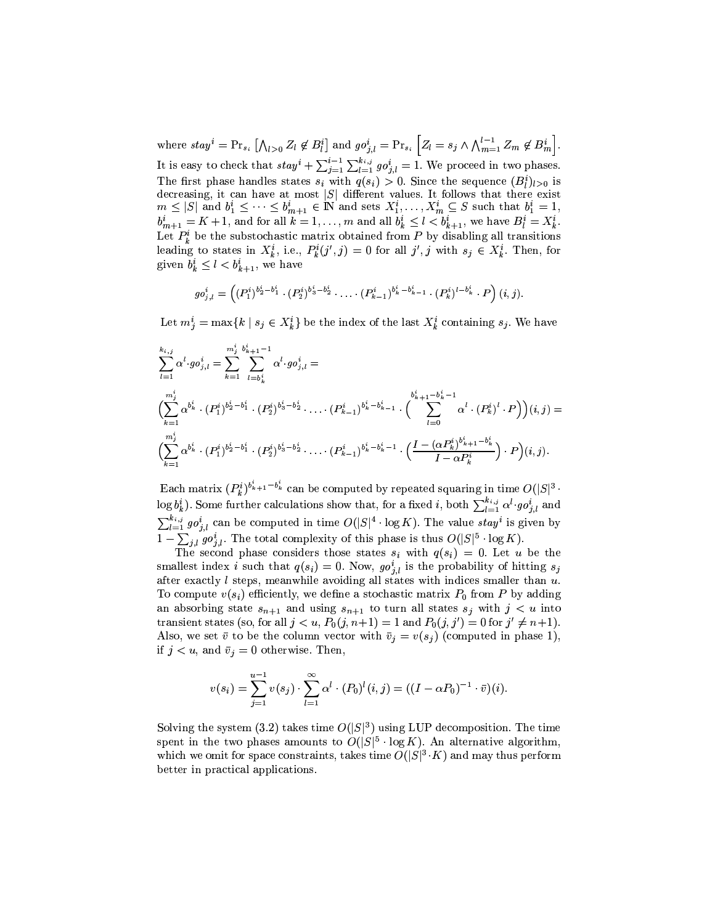where  $stay^{i} = \Pr_{s_i} [\bigwedge_{l>0} Z_l \notin B_l^i]$  and  $go_{j,l}^i = \Pr_{s_i} [Z_l = s_j \wedge \bigwedge_{m=1}^{l-1} Z_m \notin B_m^i]$ . It is easy to check that  $stay^{i} + \sum_{j=1}^{i-1} \sum_{l=1}^{k_{i,j}} go_{j,l}^{i} = 1$ . We proceed in two phases. The first phase handles states  $s_i$  with  $q(s_i) > 0$ . Since the sequence  $(B_i^i)_{i>0}$  is decreasing, it can have at most  $|S|$  different values. It follows that there exist  $m \leq |S|$  and  $b_1^i \leq \cdots \leq b_{m+1}^i \in \mathbb{N}$  and sets  $X_1^i, \ldots, X_m^i \subseteq S$  such that  $b_1^i = 1$ ,  $b_{m+1}^i = K + 1$ , and for all  $k = 1, \ldots, m$  and all  $b_k^i \leq l < b_{k+1}^i$ , we have  $B_l^i = X_k^i$ . Let  $P_k^i$  be the substochastic matrix obtained from P by disabling all transitions leading to states in  $X_k^i$ , i.e.,  $P_k^i(j',j) = 0$  for all  $j', j$  with  $s_j \in X_k^i$ . Then, for given  $b_k^i \leq l < b_{k+1}^i$ , we have

$$
g\circ_{j,l}^{i}=\left(\left(P_{1}^{i}\right)^{b_{2}^{i}-b_{1}^{i}}\cdot\left(P_{2}^{i}\right)^{b_{3}^{i}-b_{2}^{i}}\cdot\ldots\cdot\left(P_{k-1}^{i}\right)^{b_{k}^{i}-b_{k-1}^{i}}\cdot\left(P_{k}^{i}\right)^{l-b_{k}^{i}}\cdot P\right)(i,j).
$$

Let  $m_j^i = \max\{k \mid s_j \in X_k^i\}$  be the index of the last  $X_k^i$  containing  $s_j$ . We have

$$
\sum_{l=1}^{k_{i,j}} \alpha^{l} \cdot go_{j,l}^{i} = \sum_{k=1}^{m_{j}^{i}} \sum_{l=b_{k}^{i}}^{b_{k+1}^{i}-1} \alpha^{l} \cdot go_{j,l}^{i} =
$$
\n
$$
\left(\sum_{k=1}^{m_{j}^{i}} \alpha^{b_{k}^{i}} \cdot (P_{1}^{i})^{b_{2}^{i}-b_{1}^{i}} \cdot (P_{2}^{i})^{b_{3}^{i}-b_{2}^{i}} \cdot \ldots \cdot (P_{k-1}^{i})^{b_{k}^{i}-b_{k-1}^{i}} \cdot \left(\sum_{l=0}^{b_{k}^{i}+1-b_{k}^{i}-1} \alpha^{l} \cdot (P_{k}^{i})^{l} \cdot P\right)\right)(i,j) =
$$
\n
$$
\left(\sum_{k=1}^{m_{j}^{i}} \alpha^{b_{k}^{i}} \cdot (P_{1}^{i})^{b_{2}^{i}-b_{1}^{i}} \cdot (P_{2}^{i})^{b_{3}^{i}-b_{2}^{i}} \cdot \ldots \cdot (P_{k-1}^{i})^{b_{k}^{i}-b_{k}^{i}-1} \cdot \left(\frac{I-(\alpha P_{k}^{i})^{b_{k+1}^{i}-b_{k}^{i}}}{I-\alpha P_{k}^{i}}\right) \cdot P\right)(i,j).
$$

Each matrix  $(P_k^i)^{b_{k+1}^i-b_k^i}$  can be computed by repeated squaring in time  $O(|S|^3 \cdot$  $\log b_k^i$ ). Some further calculations show that, for a fixed *i*, both  $\sum_{l=1}^{k_{i,j}} \alpha^l \cdot go_{j,l}^i$  and  $\sum_{l=1}^{k_{i,j}} g o_{j,l}^{i}$  can be computed in time  $O(|S|^4 \cdot \log K)$ . The value stay<sup>i</sup> is given by  $1 - \sum_{i,l} go_{i,l}^i$ . The total complexity of this phase is thus  $O(|S|^5 \cdot \log K)$ .

The second phase considers those states  $s_i$  with  $q(s_i) = 0$ . Let u be the smallest index *i* such that  $q(s_i) = 0$ . Now,  $g \circ_{i,i}^i$  is the probability of hitting  $s_j$ after exactly  $l$  steps, meanwhile avoiding all states with indices smaller than  $u$ . To compute  $v(s_i)$  efficiently, we define a stochastic matrix  $P_0$  from P by adding an absorbing state  $s_{n+1}$  and using  $s_{n+1}$  to turn all states  $s_i$  with  $j < u$  into transient states (so, for all  $j < u$ ,  $P_0(j, n+1) = 1$  and  $P_0(j, j') = 0$  for  $j' \neq n+1$ ). Also, we set  $\bar{v}$  to be the column vector with  $\bar{v}_j = v(s_j)$  (computed in phase 1). if  $j < u$ , and  $\bar{v}_j = 0$  otherwise. Then,

$$
v(s_i) = \sum_{j=1}^{u-1} v(s_j) \cdot \sum_{l=1}^{\infty} \alpha^l \cdot (P_0)^l(i,j) = ((I - \alpha P_0)^{-1} \cdot \overline{v})(i)
$$

Solving the system (3.2) takes time  $O(|S|^3)$  using LUP decomposition. The time spent in the two phases amounts to  $O(|S|^5 \cdot \log K)$ . An alternative algorithm. which we omit for space constraints, takes time  $O(|S|^3 \cdot K)$  and may thus perform better in practical applications.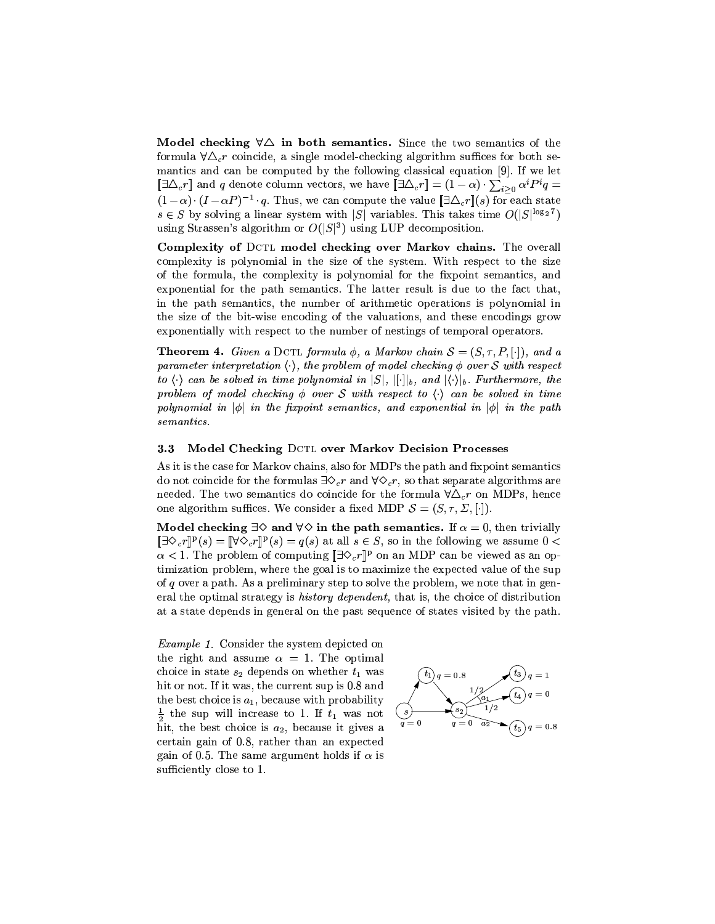Model checking  $\forall \triangle$  in both semantics. Since the two semantics of the formula  $\forall \Delta_c r$  coincide, a single model-checking algorithm suffices for both semantics and can be computed by the following classical equation [9]. If we let  $[\exists \Delta_c r]$  and q denote column vectors, we have  $[\exists \Delta_c r] = (1 - \alpha) \cdot \sum_{i>0} \alpha^i P^i q =$  $(1-\alpha)\cdot (I-\alpha P)^{-1}\cdot q$ . Thus, we can compute the value  $[\exists \Delta_{c} r](s)$  for each state  $s \in S$  by solving a linear system with |S| variables. This takes time  $O(|S|^{\log_2 7})$ using Strassen's algorithm or  $O(|S|^3)$  using LUP decomposition.

Complexity of DCTL model checking over Markov chains. The overall complexity is polynomial in the size of the system. With respect to the size of the formula, the complexity is polynomial for the fixpoint semantics, and exponential for the path semantics. The latter result is due to the fact that, in the path semantics, the number of arithmetic operations is polynomial in the size of the bit-wise encoding of the valuations, and these encodings grow exponentially with respect to the number of nestings of temporal operators.

**Theorem 4.** Given a DCTL formula  $\phi$ , a Markov chain  $S = (S, \tau, P, [\cdot])$ , and a parameter interpretation  $\langle \cdot \rangle$ , the problem of model checking  $\phi$  over S with respect to  $\langle \cdot \rangle$  can be solved in time polynomial in  $|S|, |[.\cdot]|_b$ , and  $|\langle \cdot \rangle|_b$ . Furthermore, the problem of model checking  $\phi$  over S with respect to  $\langle \cdot \rangle$  can be solved in time polynomial in  $|\phi|$  in the fixpoint semantics, and exponential in  $|\phi|$  in the path  $semantics.$ 

#### Model Checking DCTL over Markov Decision Processes  $3.3$

As it is the case for Markov chains, also for MDPs the path and fixpoint semantics do not coincide for the formulas  $\exists \Diamond_c r$  and  $\forall \Diamond_c r$ , so that separate algorithms are needed. The two semantics do coincide for the formula  $\forall \Delta_c r$  on MDPs, hence one algorithm suffices. We consider a fixed MDP  $S = (S, \tau, \Sigma, [\cdot])$ .

Model checking  $\exists \Diamond$  and  $\forall \Diamond$  in the path semantics. If  $\alpha = 0$ , then trivially  $[\exists \diamond_{c} r]^{p}(s) = [\forall \diamond_{c} r]^{p}(s) = q(s)$  at all  $s \in S$ , so in the following we assume  $0 <$  $\alpha$  < 1. The problem of computing  $\exists \Diamond_c r \mathbb{P}$  on an MDP can be viewed as an optimization problem, where the goal is to maximize the expected value of the sup of  $q$  over a path. As a preliminary step to solve the problem, we note that in general the optimal strategy is *history dependent*, that is, the choice of distribution at a state depends in general on the past sequence of states visited by the path.

*Example 1.* Consider the system depicted on the right and assume  $\alpha = 1$ . The optimal choice in state  $s_2$  depends on whether  $t_1$  was hit or not. If it was, the current sup is 0.8 and the best choice is  $a_1$ , because with probability  $\frac{1}{2}$  the sup will increase to 1. If  $t_1$  was not hit, the best choice is  $a_2$ , because it gives a certain gain of 0.8, rather than an expected gain of 0.5. The same argument holds if  $\alpha$  is sufficiently close to 1.

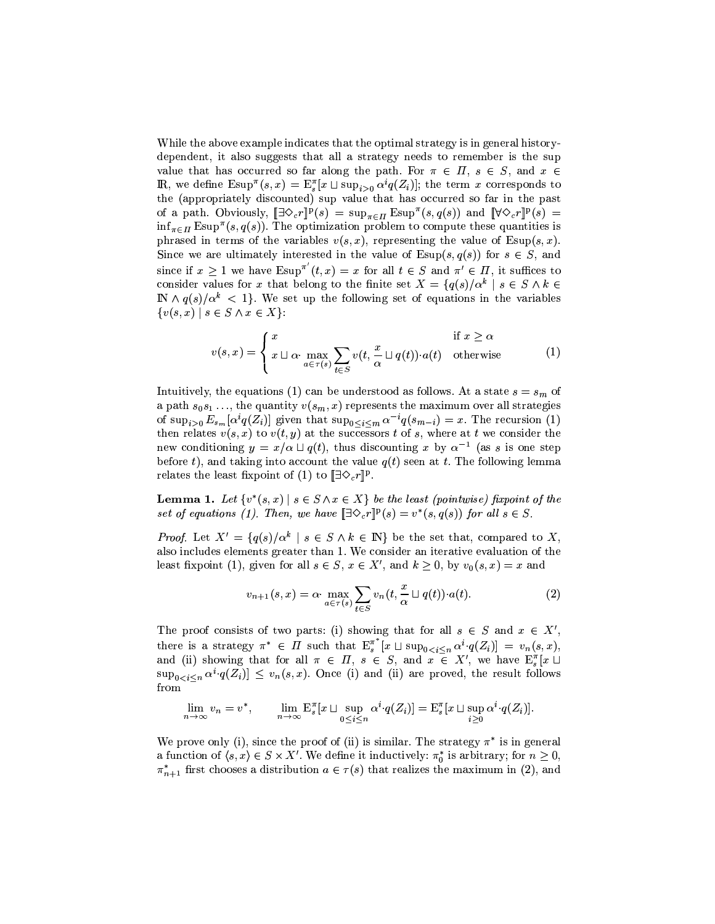While the above example indicates that the optimal strategy is in general historydependent, it also suggests that all a strategy needs to remember is the sup value that has occurred so far along the path. For  $\pi \in \Pi$ ,  $s \in S$ , and  $x \in$ **IR**, we define  $\text{Esup}^{\pi}(s, x) = \text{E}_{s}^{\pi}[x \sqcup \text{sup}_{i>0} \alpha^{i}q(Z_{i})];$  the term x corresponds to the (appropriately discounted) sup value that has occurred so far in the past of a path. Obviously,  $[\exists \diamondsuit_c r]^p(s) = \sup_{\pi \in \Pi} \text{Exp}^{\pi}(s, q(s))$  and  $[\forall \diamondsuit_c r]^p(s) =$  $\inf_{\pi \in \Pi}$  Esup<sup> $\pi(s, q(s))$ . The optimization problem to compute these quantities is</sup> phrased in terms of the variables  $v(s, x)$ , representing the value of  $\text{Exp}(s, x)$ . Since we are ultimately interested in the value of  $\text{Esup}(s, q(s))$  for  $s \in S$ , and since if  $x > 1$  we have  $\text{Esup}^{\pi'}(t, x) = x$  for all  $t \in S$  and  $\pi' \in \Pi$ , it suffices to consider values for x that belong to the finite set  $X = \{q(s)/\alpha^k \mid s \in S \wedge k \in$  $\mathbb{N} \wedge q(s)/\alpha^{k} < 1$ . We set up the following set of equations in the variables  $\{v(s, x) \mid s \in S \land x \in X\}.$ 

$$
v(s,x) = \begin{cases} x & \text{if } x \ge \alpha \\ x \sqcup \alpha \cdot \max_{a \in \tau(s)} \sum_{t \in S} v(t, \frac{x}{\alpha} \sqcup q(t)) \cdot a(t) & \text{otherwise} \end{cases}
$$
(1)

Intuitively, the equations (1) can be understood as follows. At a state  $s = s_m$  of a path  $s_0s_1 \ldots$ , the quantity  $v(s_m, x)$  represents the maximum over all strategies of  $\sup_{i>0} E_{s_m}[\alpha^i q(Z_i)]$  given that  $\sup_{0 \le i \le m} \alpha^{-i} q(s_{m-i}) = x$ . The recursion (1) then relates  $v(s, x)$  to  $v(t, y)$  at the successors t of s, where at t we consider the new conditioning  $y = x/\alpha \sqcup q(t)$ , thus discounting x by  $\alpha^{-1}$  (as s is one step before t), and taking into account the value  $q(t)$  seen at t. The following lemma relates the least fixpoint of (1) to  $[\exists \diamond_c r]$ <sup>p</sup>.

**Lemma 1.** Let  $\{v^*(s,x) \mid s \in S \land x \in X\}$  be the least (pointwise) fixpoint of the set of equations (1). Then, we have  $\mathbb{R} \in \mathbb{R}^n$   $\mathbb{R}^p(s) = v^*(s, q(s))$  for all  $s \in S$ .

*Proof.* Let  $X' = \{q(s)/\alpha^k \mid s \in S \land k \in \mathbb{N}\}\$ be the set that, compared to X, also includes elements greater than 1. We consider an iterative evaluation of the least fixpoint (1), given for all  $s \in S$ ,  $x \in X'$ , and  $k > 0$ , by  $v_0(s, x) = x$  and

$$
v_{n+1}(s,x) = \alpha \cdot \max_{a \in \tau(s)} \sum_{t \in S} v_n(t, \frac{x}{\alpha} \sqcup q(t)) \cdot a(t).
$$
 (2)

The proof consists of two parts: (i) showing that for all  $s \in S$  and  $x \in X'$ , there is a strategy  $\pi^* \in \Pi$  such that  $E_s^{\pi^*}[x \sqcup \sup_{0 \le i \le n} \alpha^i \cdot q(Z_i)] = v_n(s, x)$ ,<br>and (ii) showing that for all  $\pi \in \Pi$ ,  $s \in S$ , and  $x \in X'$ , we have  $E_s^{\pi}[x \sqcup$  $\sup_{0 \le i \le n} \alpha^i \cdot q(Z_i) \le v_n(s, x)$ . Once (i) and (ii) are proved, the result follows from

$$
\lim_{n \to \infty} v_n = v^*, \qquad \lim_{n \to \infty} \mathbb{E}_s^{\pi}[x \sqcup \sup_{0 \le i \le n} \alpha^i \cdot q(Z_i)] = \mathbb{E}_s^{\pi}[x \sqcup \sup_{i \ge 0} \alpha^i \cdot q(Z_i)].
$$

We prove only (i), since the proof of (ii) is similar. The strategy  $\pi^*$  is in general a function of  $\langle s, x \rangle \in S \times X'$ . We define it inductively:  $\pi_0^*$  is arbitrary; for  $n \geq 0$ ,  $\pi_{n+1}^*$  first chooses a distribution  $a \in \tau(s)$  that realizes the maximum in (2), and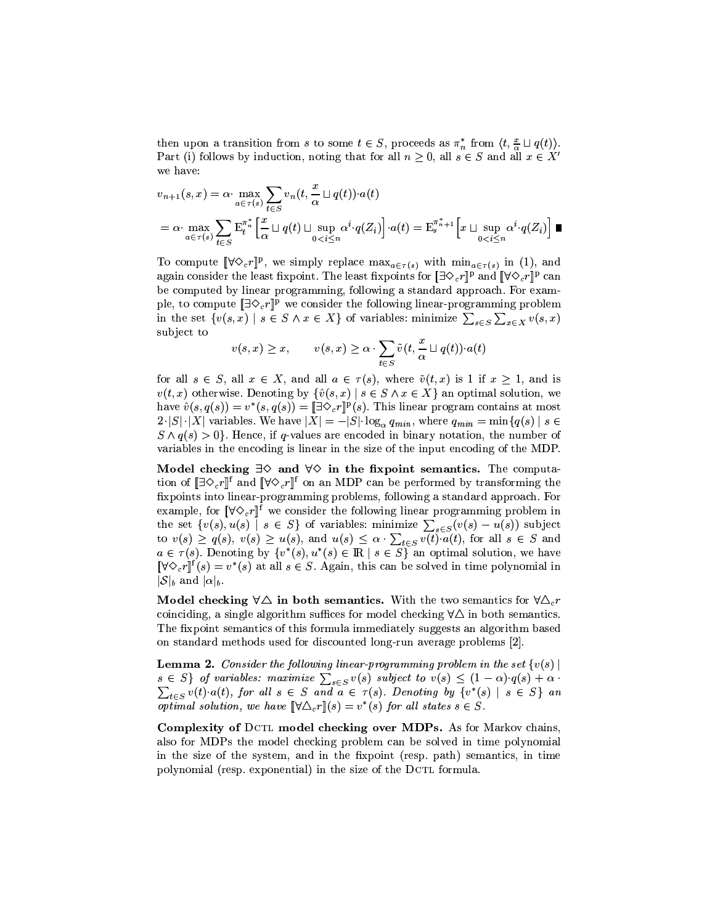then upon a transition from s to some  $t \in S$ , proceeds as  $\pi_n^*$  from  $\langle t, \frac{x}{\alpha} \sqcup q(t) \rangle$ . Part (i) follows by induction, noting that for all  $n \geq 0$ , all  $s \in S$  and all  $x \in X'$ we have:

$$
v_{n+1}(s,x) = \alpha \cdot \max_{a \in \tau(s)} \sum_{t \in S} v_n(t, \frac{x}{\alpha} \sqcup q(t)) \cdot a(t)
$$
  
= 
$$
\alpha \cdot \max_{a \in \tau(s)} \sum_{t \in S} \mathbb{E}_t^{\pi_n^*} \left[ \frac{x}{\alpha} \sqcup q(t) \sqcup \sup_{0 < i \le n} \alpha^i \cdot q(Z_i) \right] \cdot a(t) = \mathbb{E}_s^{\pi_{n+1}^*} \left[ x \sqcup \sup_{0 < i \le n} \alpha^i \cdot q(Z_i) \right] \blacksquare
$$

To compute  $[\![\forall \diamond_c r]\!]^p$ , we simply replace  $\max_{a \in \tau(s)}$  with  $\min_{a \in \tau(s)}$  in (1), and again consider the least fixpoint. The least fixpoints for  $[\![\exists \diamond_c r]\!]^p$  and  $[\![\forall \diamond_c r]\!]^p$  can be computed by linear programming, following a standard approach. For example, to compute  $[\exists \diamond_{c} r]^{p}$  we consider the following linear-programming problem in the set  $\{v(s,x) \mid s \in S \land x \in X\}$  of variables: minimize  $\sum_{s \in S} \sum_{x \in X} v(s,x)$ subject to

$$
v(s,x) \geq x, \qquad v(s,x) \geq \alpha \cdot \sum_{t \in S} \tilde{v}(t, \frac{x}{\alpha} \sqcup q(t)) \cdot a(t)
$$

for all  $s \in S$ , all  $x \in X$ , and all  $a \in \tau(s)$ , where  $\tilde{\nu}(t,x)$  is 1 if  $x \geq 1$ , and is  $v(t, x)$  otherwise. Denoting by  $\{\hat{v}(s, x) \mid s \in S \land x \in X\}$  an optimal solution, we have  $\hat{v}(s, q(s)) = v^*(s, q(s)) = \mathbb{I} \otimes_c r \mathbb{P}(s)$ . This linear program contains at most  $2\cdot|S|\cdot|X|$  variables. We have  $|X| = -|S|\cdot \log_{\alpha} q_{min}$ , where  $q_{min} = \min\{q(s) \mid s \in$  $S \wedge q(s) > 0$ . Hence, if q-values are encoded in binary notation, the number of variables in the encoding is linear in the size of the input encoding of the MDP.

Model checking  $\exists \Diamond$  and  $\forall \Diamond$  in the fixpoint semantics. The computation of  $\left[\exists \diamondsuit_r \right]$  and  $\left[\forall \diamondsuit_r \right]$  on an MDP can be performed by transforming the fixpoints into linear-programming problems, following a standard approach. For example, for  $[\![\forall \diamond_{c} r]\!]^{\text{f}}$  we consider the following linear programming problem in the set  $\{v(s), u(s) \mid s \in S\}$  of variables: minimize  $\sum_{s \in S} (v(s) - u(s))$  subject to  $v(s) \geq q(s)$ ,  $v(s) \geq u(s)$ , and  $u(s) \leq \alpha \cdot \sum_{t \in S} v(t) \cdot a(t)$ , for all  $s \in S$  and  $a \in \tau(s)$ . Denoting by  $\{v^*(s), u^*(s) \in \mathbb{R} \mid s \in S\}$  an optimal solution, we have  $[\![\forall \diamond_c r]\!]^{\text{f}}(s) = v^*(s)$  at all  $s \in S$ . Again, this can be solved in time polynomial in  $|\mathcal{S}|_b$  and  $|\alpha|_b$ .

Model checking  $\forall \triangle$  in both semantics. With the two semantics for  $\forall \triangle_{c} r$ coinciding, a single algorithm suffices for model checking  $\forall \Delta$  in both semantics. The fixpoint semantics of this formula immediately suggests an algorithm based on standard methods used for discounted long-run average problems [2].

**Lemma 2.** Consider the following linear-programming problem in the set  $\{v(s) \mid$  $s \in S$  of variables: maximize  $\sum_{s \in S} v(s)$  subject to  $v(s) \leq (1 - \alpha) \cdot q(s) + \alpha \cdot \sum_{t \in S} v(t) \cdot a(t)$ , for all  $s \in S$  and  $a \in \tau(s)$ . Denoting by  $\{v^*(s) \mid s \in S\}$  an optimal solution, we have  $[\forall \Delta_c r](s) = v^*(s)$  for all states  $s \in S$ .

Complexity of DCTL model checking over MDPs. As for Markov chains, also for MDPs the model checking problem can be solved in time polynomial in the size of the system, and in the fixpoint (resp. path) semantics, in time polynomial (resp. exponential) in the size of the DCTL formula.